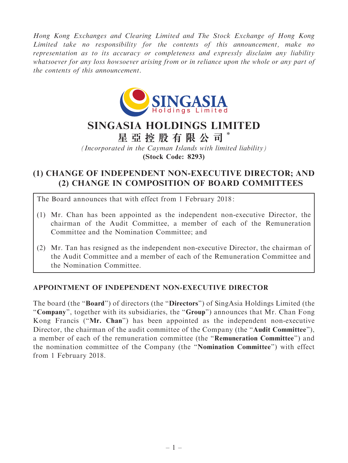Hong Kong Exchanges and Clearing Limited and The Stock Exchange of Hong Kong Limited take no responsibility for the contents of this announcement, make no representation as to its accuracy or completeness and expressly disclaim any liability whatsoever for any loss howsoever arising from or in reliance upon the whole or any part of the contents of this announcement.



## SINGASIA HOLDINGS LIMITED

星 亞 控 股 有 限 公 司 \*

(Incorporated in the Cayman Islands with limited liability) (Stock Code: 8293)

## (1) CHANGE OF INDEPENDENT NON-EXECUTIVE DIRECTOR; AND (2) CHANGE IN COMPOSITION OF BOARD COMMITTEES

The Board announces that with effect from 1 February 2018:

- (1) Mr. Chan has been appointed as the independent non-executive Director, the chairman of the Audit Committee, a member of each of the Remuneration Committee and the Nomination Committee; and
- (2) Mr. Tan has resigned as the independent non-executive Director, the chairman of the Audit Committee and a member of each of the Remuneration Committee and the Nomination Committee.

## APPOINTMENT OF INDEPENDENT NON-EXECUTIVE DIRECTOR

The board (the "**Board**") of directors (the "**Directors**") of SingAsia Holdings Limited (the "Company", together with its subsidiaries, the "Group") announces that Mr. Chan Fong Kong Francis (''Mr. Chan'') has been appointed as the independent non-executive Director, the chairman of the audit committee of the Company (the "Audit Committee"), a member of each of the remuneration committee (the ''Remuneration Committee'') and the nomination committee of the Company (the ''Nomination Committee'') with effect from 1 February 2018.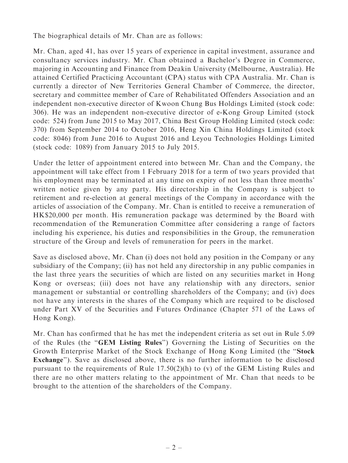The biographical details of Mr. Chan are as follows:

Mr. Chan, aged 41, has over 15 years of experience in capital investment, assurance and consultancy services industry. Mr. Chan obtained a Bachelor's Degree in Commerce, majoring in Accounting and Finance from Deakin University (Melbourne, Australia). He attained Certified Practicing Accountant (CPA) status with CPA Australia. Mr. Chan is currently a director of New Territories General Chamber of Commerce, the director, secretary and committee member of Care of Rehabilitated Offenders Association and an independent non-executive director of Kwoon Chung Bus Holdings Limited (stock code: 306). He was an independent non-executive director of e-Kong Group Limited (stock code: 524) from June 2015 to May 2017, China Best Group Holding Limited (stock code: 370) from September 2014 to October 2016, Heng Xin China Holdings Limited (stock code: 8046) from June 2016 to August 2016 and Leyou Technologies Holdings Limited (stock code: 1089) from January 2015 to July 2015.

Under the letter of appointment entered into between Mr. Chan and the Company, the appointment will take effect from 1 February 2018 for a term of two years provided that his employment may be terminated at any time on expiry of not less than three months' written notice given by any party. His directorship in the Company is subject to retirement and re-election at general meetings of the Company in accordance with the articles of association of the Company. Mr. Chan is entitled to receive a remuneration of HK\$20,000 per month. His remuneration package was determined by the Board with recommendation of the Remuneration Committee after considering a range of factors including his experience, his duties and responsibilities in the Group, the remuneration structure of the Group and levels of remuneration for peers in the market.

Save as disclosed above, Mr. Chan (i) does not hold any position in the Company or any subsidiary of the Company; (ii) has not held any directorship in any public companies in the last three years the securities of which are listed on any securities market in Hong Kong or overseas; (iii) does not have any relationship with any directors, senior management or substantial or controlling shareholders of the Company; and (iv) does not have any interests in the shares of the Company which are required to be disclosed under Part XV of the Securities and Futures Ordinance (Chapter 571 of the Laws of Hong Kong).

Mr. Chan has confirmed that he has met the independent criteria as set out in Rule 5.09 of the Rules (the ''GEM Listing Rules'') Governing the Listing of Securities on the Growth Enterprise Market of the Stock Exchange of Hong Kong Limited (the ''Stock Exchange''). Save as disclosed above, there is no further information to be disclosed pursuant to the requirements of Rule 17.50(2)(h) to (v) of the GEM Listing Rules and there are no other matters relating to the appointment of Mr. Chan that needs to be brought to the attention of the shareholders of the Company.